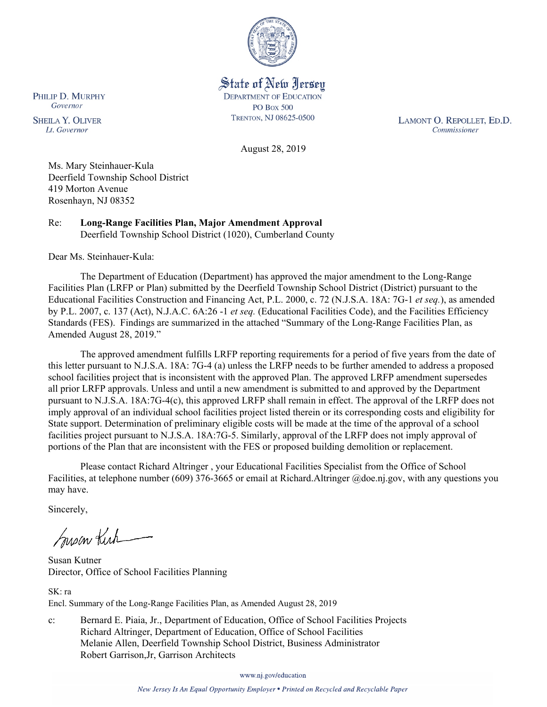

State of New Jersey **DEPARTMENT OF EDUCATION PO Box 500** TRENTON, NJ 08625-0500

LAMONT O. REPOLLET, ED.D. Commissioner

August 28, 2019

Ms. Mary Steinhauer-Kula Deerfield Township School District 419 Morton Avenue Rosenhayn, NJ 08352

Re: **Long-Range Facilities Plan, Major Amendment Approval** Deerfield Township School District (1020), Cumberland County

Dear Ms. Steinhauer-Kula:

The Department of Education (Department) has approved the major amendment to the Long-Range Facilities Plan (LRFP or Plan) submitted by the Deerfield Township School District (District) pursuant to the Educational Facilities Construction and Financing Act, P.L. 2000, c. 72 (N.J.S.A. 18A: 7G-1 *et seq.*), as amended by P.L. 2007, c. 137 (Act), N.J.A.C. 6A:26 -1 *et seq.* (Educational Facilities Code), and the Facilities Efficiency Standards (FES). Findings are summarized in the attached "Summary of the Long-Range Facilities Plan, as Amended August 28, 2019."

The approved amendment fulfills LRFP reporting requirements for a period of five years from the date of this letter pursuant to N.J.S.A. 18A: 7G-4 (a) unless the LRFP needs to be further amended to address a proposed school facilities project that is inconsistent with the approved Plan. The approved LRFP amendment supersedes all prior LRFP approvals. Unless and until a new amendment is submitted to and approved by the Department pursuant to N.J.S.A. 18A:7G-4(c), this approved LRFP shall remain in effect. The approval of the LRFP does not imply approval of an individual school facilities project listed therein or its corresponding costs and eligibility for State support. Determination of preliminary eligible costs will be made at the time of the approval of a school facilities project pursuant to N.J.S.A. 18A:7G-5. Similarly, approval of the LRFP does not imply approval of portions of the Plan that are inconsistent with the FES or proposed building demolition or replacement.

Please contact Richard Altringer , your Educational Facilities Specialist from the Office of School Facilities, at telephone number (609) 376-3665 or email at Richard.Altringer @doe.nj.gov, with any questions you may have.

Sincerely,

Susan Kich

Susan Kutner Director, Office of School Facilities Planning

SK: ra Encl. Summary of the Long-Range Facilities Plan, as Amended August 28, 2019

c: Bernard E. Piaia, Jr., Department of Education, Office of School Facilities Projects Richard Altringer, Department of Education, Office of School Facilities Melanie Allen, Deerfield Township School District, Business Administrator Robert Garrison,Jr, Garrison Architects

www.nj.gov/education

PHILIP D. MURPHY Governor

**SHEILA Y. OLIVER** Lt. Governor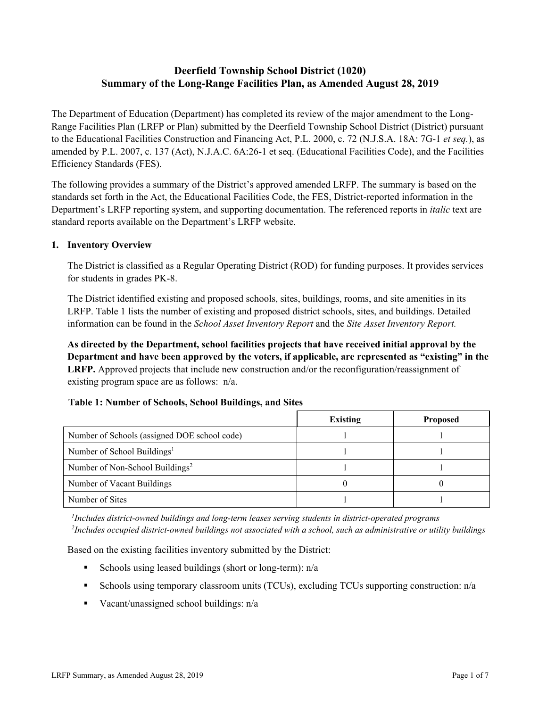# **Deerfield Township School District (1020) Summary of the Long-Range Facilities Plan, as Amended August 28, 2019**

The Department of Education (Department) has completed its review of the major amendment to the Long-Range Facilities Plan (LRFP or Plan) submitted by the Deerfield Township School District (District) pursuant to the Educational Facilities Construction and Financing Act, P.L. 2000, c. 72 (N.J.S.A. 18A: 7G-1 *et seq.*), as amended by P.L. 2007, c. 137 (Act), N.J.A.C. 6A:26-1 et seq. (Educational Facilities Code), and the Facilities Efficiency Standards (FES).

The following provides a summary of the District's approved amended LRFP. The summary is based on the standards set forth in the Act, the Educational Facilities Code, the FES, District-reported information in the Department's LRFP reporting system, and supporting documentation. The referenced reports in *italic* text are standard reports available on the Department's LRFP website.

### **1. Inventory Overview**

The District is classified as a Regular Operating District (ROD) for funding purposes. It provides services for students in grades PK-8.

The District identified existing and proposed schools, sites, buildings, rooms, and site amenities in its LRFP. Table 1 lists the number of existing and proposed district schools, sites, and buildings. Detailed information can be found in the *School Asset Inventory Report* and the *Site Asset Inventory Report.*

**As directed by the Department, school facilities projects that have received initial approval by the Department and have been approved by the voters, if applicable, are represented as "existing" in the LRFP.** Approved projects that include new construction and/or the reconfiguration/reassignment of existing program space are as follows: n/a.

# **Table 1: Number of Schools, School Buildings, and Sites**

|                                              | <b>Existing</b> | <b>Proposed</b> |
|----------------------------------------------|-----------------|-----------------|
| Number of Schools (assigned DOE school code) |                 |                 |
| Number of School Buildings <sup>1</sup>      |                 |                 |
| Number of Non-School Buildings <sup>2</sup>  |                 |                 |
| Number of Vacant Buildings                   |                 |                 |
| Number of Sites                              |                 |                 |

*1 Includes district-owned buildings and long-term leases serving students in district-operated programs 2 Includes occupied district-owned buildings not associated with a school, such as administrative or utility buildings*

Based on the existing facilities inventory submitted by the District:

- Schools using leased buildings (short or long-term):  $n/a$
- Schools using temporary classroom units (TCUs), excluding TCUs supporting construction: n/a
- Vacant/unassigned school buildings:  $n/a$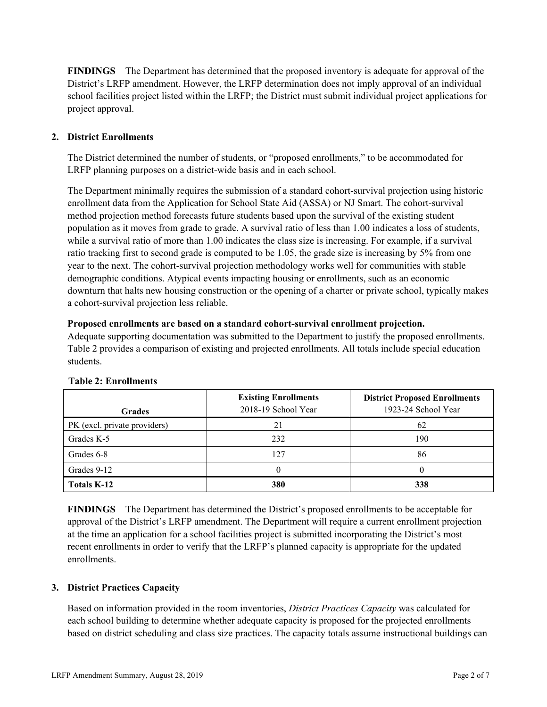**FINDINGS** The Department has determined that the proposed inventory is adequate for approval of the District's LRFP amendment. However, the LRFP determination does not imply approval of an individual school facilities project listed within the LRFP; the District must submit individual project applications for project approval.

# **2. District Enrollments**

The District determined the number of students, or "proposed enrollments," to be accommodated for LRFP planning purposes on a district-wide basis and in each school.

The Department minimally requires the submission of a standard cohort-survival projection using historic enrollment data from the Application for School State Aid (ASSA) or NJ Smart. The cohort-survival method projection method forecasts future students based upon the survival of the existing student population as it moves from grade to grade. A survival ratio of less than 1.00 indicates a loss of students, while a survival ratio of more than 1.00 indicates the class size is increasing. For example, if a survival ratio tracking first to second grade is computed to be 1.05, the grade size is increasing by 5% from one year to the next. The cohort-survival projection methodology works well for communities with stable demographic conditions. Atypical events impacting housing or enrollments, such as an economic downturn that halts new housing construction or the opening of a charter or private school, typically makes a cohort-survival projection less reliable.

### **Proposed enrollments are based on a standard cohort-survival enrollment projection.**

Adequate supporting documentation was submitted to the Department to justify the proposed enrollments. Table 2 provides a comparison of existing and projected enrollments. All totals include special education students.

| <b>Grades</b>                | <b>Existing Enrollments</b><br>2018-19 School Year | <b>District Proposed Enrollments</b><br>1923-24 School Year |
|------------------------------|----------------------------------------------------|-------------------------------------------------------------|
| PK (excl. private providers) | 21                                                 | 62                                                          |
| Grades K-5                   | 232                                                | 190                                                         |
| Grades 6-8                   | 127                                                | 86                                                          |
| Grades 9-12                  |                                                    |                                                             |
| <b>Totals K-12</b>           | 380                                                | 338                                                         |

### **Table 2: Enrollments**

**FINDINGS** The Department has determined the District's proposed enrollments to be acceptable for approval of the District's LRFP amendment. The Department will require a current enrollment projection at the time an application for a school facilities project is submitted incorporating the District's most recent enrollments in order to verify that the LRFP's planned capacity is appropriate for the updated enrollments.

### **3. District Practices Capacity**

Based on information provided in the room inventories, *District Practices Capacity* was calculated for each school building to determine whether adequate capacity is proposed for the projected enrollments based on district scheduling and class size practices. The capacity totals assume instructional buildings can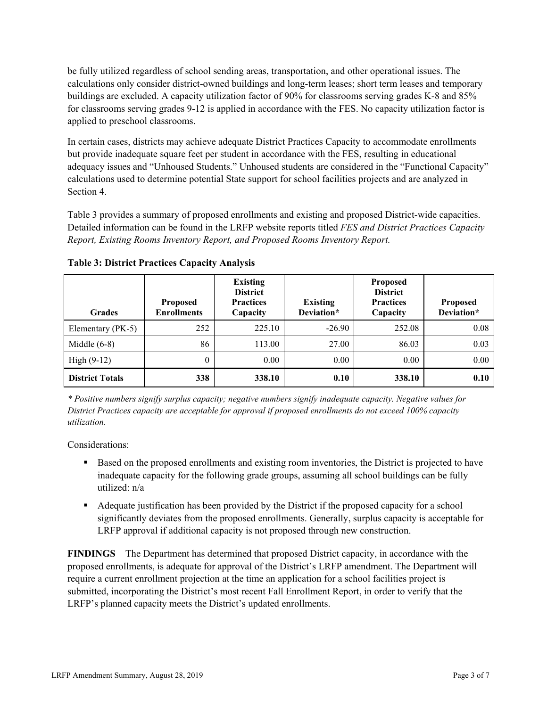be fully utilized regardless of school sending areas, transportation, and other operational issues. The calculations only consider district-owned buildings and long-term leases; short term leases and temporary buildings are excluded. A capacity utilization factor of 90% for classrooms serving grades K-8 and 85% for classrooms serving grades 9-12 is applied in accordance with the FES. No capacity utilization factor is applied to preschool classrooms.

In certain cases, districts may achieve adequate District Practices Capacity to accommodate enrollments but provide inadequate square feet per student in accordance with the FES, resulting in educational adequacy issues and "Unhoused Students." Unhoused students are considered in the "Functional Capacity" calculations used to determine potential State support for school facilities projects and are analyzed in Section 4.

Table 3 provides a summary of proposed enrollments and existing and proposed District-wide capacities. Detailed information can be found in the LRFP website reports titled *FES and District Practices Capacity Report, Existing Rooms Inventory Report, and Proposed Rooms Inventory Report.*

| <b>Grades</b>          | <b>Proposed</b><br><b>Enrollments</b> | <b>Existing</b><br><b>District</b><br><b>Practices</b><br>Capacity | <b>Existing</b><br>Deviation* | <b>Proposed</b><br><b>District</b><br><b>Practices</b><br>Capacity | <b>Proposed</b><br>Deviation* |
|------------------------|---------------------------------------|--------------------------------------------------------------------|-------------------------------|--------------------------------------------------------------------|-------------------------------|
| Elementary (PK-5)      | 252                                   | 225.10                                                             | $-26.90$                      | 252.08                                                             | 0.08                          |
| Middle $(6-8)$         | 86                                    | 113.00                                                             | 27.00                         | 86.03                                                              | 0.03                          |
| High $(9-12)$          | $\theta$                              | 0.00                                                               | 0.00                          | 0.00                                                               | 0.00                          |
| <b>District Totals</b> | 338                                   | 338.10                                                             | 0.10                          | 338.10                                                             | 0.10                          |

**Table 3: District Practices Capacity Analysis**

*\* Positive numbers signify surplus capacity; negative numbers signify inadequate capacity. Negative values for District Practices capacity are acceptable for approval if proposed enrollments do not exceed 100% capacity utilization.*

Considerations:

- Based on the proposed enrollments and existing room inventories, the District is projected to have inadequate capacity for the following grade groups, assuming all school buildings can be fully utilized: n/a
- Adequate justification has been provided by the District if the proposed capacity for a school significantly deviates from the proposed enrollments. Generally, surplus capacity is acceptable for LRFP approval if additional capacity is not proposed through new construction.

**FINDINGS**The Department has determined that proposed District capacity, in accordance with the proposed enrollments, is adequate for approval of the District's LRFP amendment. The Department will require a current enrollment projection at the time an application for a school facilities project is submitted, incorporating the District's most recent Fall Enrollment Report, in order to verify that the LRFP's planned capacity meets the District's updated enrollments.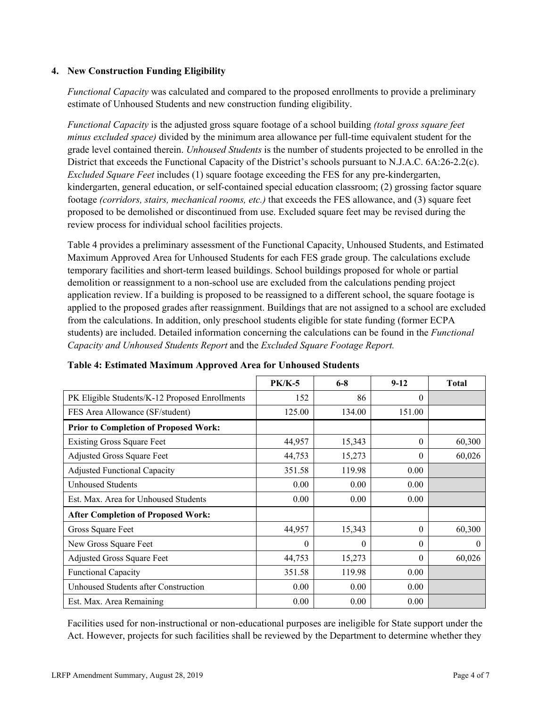### **4. New Construction Funding Eligibility**

*Functional Capacity* was calculated and compared to the proposed enrollments to provide a preliminary estimate of Unhoused Students and new construction funding eligibility.

*Functional Capacity* is the adjusted gross square footage of a school building *(total gross square feet minus excluded space)* divided by the minimum area allowance per full-time equivalent student for the grade level contained therein. *Unhoused Students* is the number of students projected to be enrolled in the District that exceeds the Functional Capacity of the District's schools pursuant to N.J.A.C. 6A:26-2.2(c). *Excluded Square Feet* includes (1) square footage exceeding the FES for any pre-kindergarten, kindergarten, general education, or self-contained special education classroom; (2) grossing factor square footage *(corridors, stairs, mechanical rooms, etc.)* that exceeds the FES allowance, and (3) square feet proposed to be demolished or discontinued from use. Excluded square feet may be revised during the review process for individual school facilities projects.

Table 4 provides a preliminary assessment of the Functional Capacity, Unhoused Students, and Estimated Maximum Approved Area for Unhoused Students for each FES grade group. The calculations exclude temporary facilities and short-term leased buildings. School buildings proposed for whole or partial demolition or reassignment to a non-school use are excluded from the calculations pending project application review. If a building is proposed to be reassigned to a different school, the square footage is applied to the proposed grades after reassignment. Buildings that are not assigned to a school are excluded from the calculations. In addition, only preschool students eligible for state funding (former ECPA students) are included. Detailed information concerning the calculations can be found in the *Functional Capacity and Unhoused Students Report* and the *Excluded Square Footage Report.*

|                                                | <b>PK/K-5</b> | $6 - 8$  | $9-12$   | <b>Total</b> |
|------------------------------------------------|---------------|----------|----------|--------------|
| PK Eligible Students/K-12 Proposed Enrollments | 152           | 86       | $\Omega$ |              |
| FES Area Allowance (SF/student)                | 125.00        | 134.00   | 151.00   |              |
| <b>Prior to Completion of Proposed Work:</b>   |               |          |          |              |
| <b>Existing Gross Square Feet</b>              | 44,957        | 15,343   | $\theta$ | 60,300       |
| Adjusted Gross Square Feet                     | 44,753        | 15,273   | 0        | 60,026       |
| <b>Adjusted Functional Capacity</b>            | 351.58        | 119.98   | 0.00     |              |
| Unhoused Students                              | 0.00          | 0.00     | 0.00     |              |
| Est. Max. Area for Unhoused Students           | 0.00          | 0.00     | 0.00     |              |
| <b>After Completion of Proposed Work:</b>      |               |          |          |              |
| Gross Square Feet                              | 44,957        | 15,343   | $\Omega$ | 60,300       |
| New Gross Square Feet                          | $\theta$      | $\theta$ | $\theta$ | $\theta$     |
| <b>Adjusted Gross Square Feet</b>              | 44,753        | 15,273   | $\Omega$ | 60,026       |
| <b>Functional Capacity</b>                     | 351.58        | 119.98   | 0.00     |              |
| Unhoused Students after Construction           | 0.00          | 0.00     | 0.00     |              |
| Est. Max. Area Remaining                       | 0.00          | 0.00     | 0.00     |              |

### **Table 4: Estimated Maximum Approved Area for Unhoused Students**

Facilities used for non-instructional or non-educational purposes are ineligible for State support under the Act. However, projects for such facilities shall be reviewed by the Department to determine whether they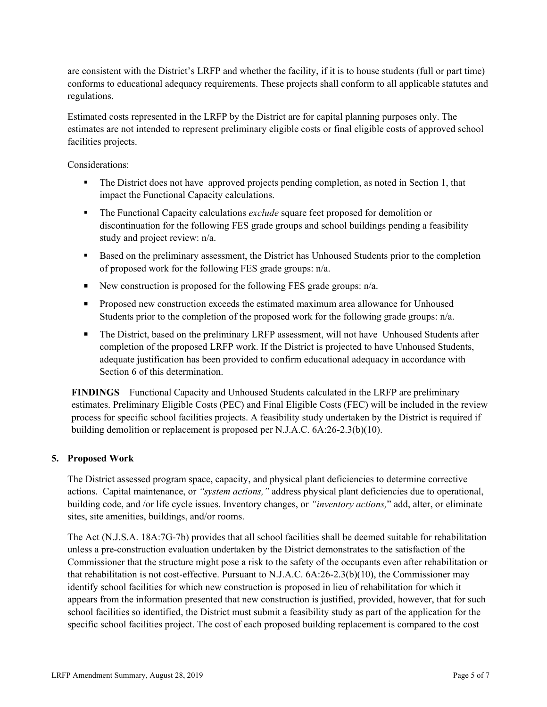are consistent with the District's LRFP and whether the facility, if it is to house students (full or part time) conforms to educational adequacy requirements. These projects shall conform to all applicable statutes and regulations.

Estimated costs represented in the LRFP by the District are for capital planning purposes only. The estimates are not intended to represent preliminary eligible costs or final eligible costs of approved school facilities projects.

Considerations:

- The District does not have approved projects pending completion, as noted in Section 1, that impact the Functional Capacity calculations.
- The Functional Capacity calculations *exclude* square feet proposed for demolition or discontinuation for the following FES grade groups and school buildings pending a feasibility study and project review: n/a.
- Based on the preliminary assessment, the District has Unhoused Students prior to the completion of proposed work for the following FES grade groups: n/a.
- New construction is proposed for the following FES grade groups:  $n/a$ .
- **Proposed new construction exceeds the estimated maximum area allowance for Unhoused** Students prior to the completion of the proposed work for the following grade groups: n/a.
- The District, based on the preliminary LRFP assessment, will not have Unhoused Students after completion of the proposed LRFP work. If the District is projected to have Unhoused Students, adequate justification has been provided to confirm educational adequacy in accordance with Section 6 of this determination.

**FINDINGS** Functional Capacity and Unhoused Students calculated in the LRFP are preliminary estimates. Preliminary Eligible Costs (PEC) and Final Eligible Costs (FEC) will be included in the review process for specific school facilities projects. A feasibility study undertaken by the District is required if building demolition or replacement is proposed per N.J.A.C. 6A:26-2.3(b)(10).

### **5. Proposed Work**

The District assessed program space, capacity, and physical plant deficiencies to determine corrective actions. Capital maintenance, or *"system actions,"* address physical plant deficiencies due to operational, building code, and /or life cycle issues. Inventory changes, or *"inventory actions,*" add, alter, or eliminate sites, site amenities, buildings, and/or rooms.

The Act (N.J.S.A. 18A:7G-7b) provides that all school facilities shall be deemed suitable for rehabilitation unless a pre-construction evaluation undertaken by the District demonstrates to the satisfaction of the Commissioner that the structure might pose a risk to the safety of the occupants even after rehabilitation or that rehabilitation is not cost-effective. Pursuant to N.J.A.C. 6A:26-2.3(b)(10), the Commissioner may identify school facilities for which new construction is proposed in lieu of rehabilitation for which it appears from the information presented that new construction is justified, provided, however, that for such school facilities so identified, the District must submit a feasibility study as part of the application for the specific school facilities project. The cost of each proposed building replacement is compared to the cost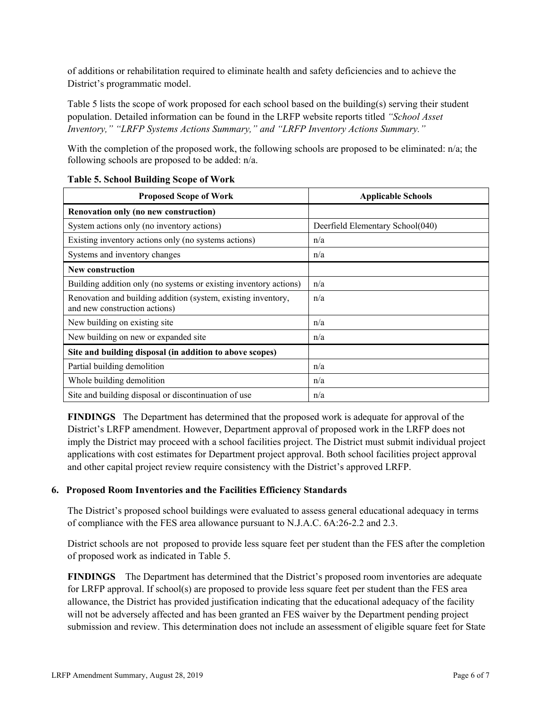of additions or rehabilitation required to eliminate health and safety deficiencies and to achieve the District's programmatic model.

Table 5 lists the scope of work proposed for each school based on the building(s) serving their student population. Detailed information can be found in the LRFP website reports titled *"School Asset Inventory," "LRFP Systems Actions Summary," and "LRFP Inventory Actions Summary."*

With the completion of the proposed work, the following schools are proposed to be eliminated: n/a; the following schools are proposed to be added: n/a.

| <b>Proposed Scope of Work</b>                                                                  | <b>Applicable Schools</b>        |
|------------------------------------------------------------------------------------------------|----------------------------------|
| Renovation only (no new construction)                                                          |                                  |
| System actions only (no inventory actions)                                                     | Deerfield Elementary School(040) |
| Existing inventory actions only (no systems actions)                                           | n/a                              |
| Systems and inventory changes                                                                  | n/a                              |
| <b>New construction</b>                                                                        |                                  |
| Building addition only (no systems or existing inventory actions)                              | n/a                              |
| Renovation and building addition (system, existing inventory,<br>and new construction actions) | n/a                              |
| New building on existing site                                                                  | n/a                              |
| New building on new or expanded site                                                           | n/a                              |
| Site and building disposal (in addition to above scopes)                                       |                                  |
| Partial building demolition                                                                    | n/a                              |
| Whole building demolition                                                                      | n/a                              |
| Site and building disposal or discontinuation of use                                           | n/a                              |

### **Table 5. School Building Scope of Work**

**FINDINGS** The Department has determined that the proposed work is adequate for approval of the District's LRFP amendment. However, Department approval of proposed work in the LRFP does not imply the District may proceed with a school facilities project. The District must submit individual project applications with cost estimates for Department project approval. Both school facilities project approval and other capital project review require consistency with the District's approved LRFP.

# **6. Proposed Room Inventories and the Facilities Efficiency Standards**

The District's proposed school buildings were evaluated to assess general educational adequacy in terms of compliance with the FES area allowance pursuant to N.J.A.C. 6A:26-2.2 and 2.3.

District schools are not proposed to provide less square feet per student than the FES after the completion of proposed work as indicated in Table 5.

**FINDINGS** The Department has determined that the District's proposed room inventories are adequate for LRFP approval. If school(s) are proposed to provide less square feet per student than the FES area allowance, the District has provided justification indicating that the educational adequacy of the facility will not be adversely affected and has been granted an FES waiver by the Department pending project submission and review. This determination does not include an assessment of eligible square feet for State